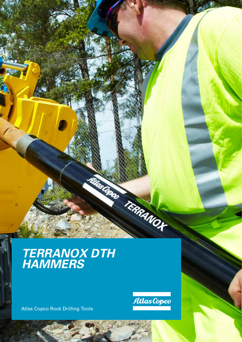# *TERRANOX DTH HAMMERS*

Atlas Copco Rock Drilling Tools



Russian Teneranor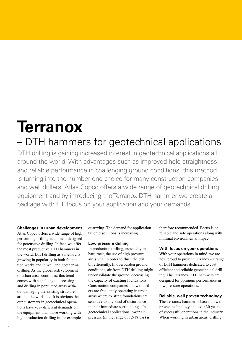# **Terranox**

# – DTH hammers for geotechnical applications

DTH drilling is gaining increased interest in geotechnical applications all around the world. With advantages such as improved hole straightness and reliable performance in challenging ground conditions, this method is turning into the number one choice for many construction companies and well drillers. Atlas Copco offers a wide range of geotechnical drilling equipment and by introducing the Terranox DTH hammer we create a package with full focus on your application and your demands.

#### **Challenges in urban development**

Atlas Copco offers a wide range of high performing drilling equipment designed for percussive drilling. In fact, we offer the most productive DTH hammers in the world. DTH drilling as a method is growing in popularity in both foundation works and in well and geothermal drilling. As the global redevelopment of urban areas continues, this trend comes with a challenge - accessing and drilling in populated areas without damaging the existing structures around the work site. It is obvious that our customers in geotechnical operations have very different demands on the equipment than those working with high production drilling in for example

quarrying. The demand for application tailored solutions is increasing.

### **Low pressure drilling**

In production drilling, especially in hard rock, the use of high pressure air is vital in order to flush the drill bit efficiently. In overburden ground conditions, air from DTH drilling might unconsolidate the ground, decreasing the capacity of existing foundations. Construction companies and well drillers are frequently operating in urban areas where existing foundations are sensitive to any kind of disturbance in their immediate surroundings. In geotechnical applications lower air pressure (in the range of 12-18 bar) is

therefore recommended. Focus is on reliable and safe operations along with minimal environmental impact.

### **With focus on your operations**

With your operations in mind, we are now proud to present Terranox - a range of DTH hammers dedicated to cost efficient and reliable geotechnical drilling. The Terranox DTH hammers are designed for optimum performance in low pressure operations.

# **Reliable, well proven technology**

The Terranox hammer is based on well proven technology and over 30 years of successful operations in the industry. When working in urban areas, drilling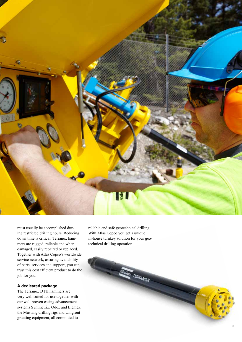

must usually be accomplished dur ing restricted drilling hours. Reducing down time is critical. Terranox ham mers are rugged, reliable and when damaged, easily repaired or replaced. Together with Atlas Copco's worldwide service network, assuring availability of parts, services and support, you can trust this cost efficient product to do the job for you.

# **A dedicated package**

The Terranox DTH hammers are very well suited for use together with our well proven casing advancement systems Symmetrix, Odex and Elemex, the Mustang drilling rigs and Unigrout grouting equipment, all committed to

reliable and safe geotechnical drilling. With Atlas Copco you get a unique in-house turnkey solution for your geo technical drilling operation.

TERRANOX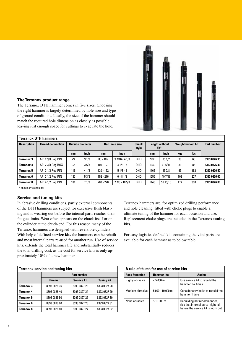

# **The Terranox product range**

The Terranox DTH hammer comes in five sizes. Choosing the right hammer is largely determined by hole size and type of ground conditions. Ideally, the size of the hammer should match the required hole dimension as closely as possible, leaving just enough space for cuttings to evacuate the hole.

| Terranox DTH hammers |                          |                  |      |                |                |                       |                               |             |                          |            |                    |
|----------------------|--------------------------|------------------|------|----------------|----------------|-----------------------|-------------------------------|-------------|--------------------------|------------|--------------------|
| <b>Description</b>   | <b>Thread connection</b> | Outside diameter |      | Rec. hole size |                | <b>Shank</b><br>style | <b>Length without</b><br>bit* |             | <b>Weight wihout bit</b> |            | <b>Part number</b> |
|                      |                          | $mm$             | inch | $mm$           | inch           |                       | mm                            | <i>inch</i> | kgs                      | <b>lbs</b> |                    |
| Terranox 3           | API 23/8 Reg PIN         | 79               | 31/8 | $88 - 105$     | $37/16 - 41/8$ | DHD                   | 902                           | 351/2       | 30                       | 66         | 8393 0826 35       |
| Terranox 4           | API 23/8 Reg BOX         | 92               | 35/8 | $105 - 127$    | $41/8 - 5$     | DHD                   | 1049                          | 41 5/16     | 39                       | 86         | 8393 0826 40       |
| Terranox 5           | API 3 1/2 Reg PIN        | 115              | 41/2 | $130 - 152$    | $51/8 - 6$     | DHD                   | 1166                          | 45 7/8      | 69                       | 152        | 8393 0826 50       |
| Terranox 6           | API 3 1/2 Reg PIN        | 137              | 53/8 | 152 - 216      | $6 - 81/2$     | DHD                   | 1255                          | 49 7/16     | 103                      | 227        | 8393 0826 60       |
| <b>Terranox 8</b>    | API 4 1/2 Reg PIN        | 181              | 71/8 | $200 - 270$    | 7 7/8 - 10 5/8 | <b>DHD</b>            | 1443                          | 56 13/16    | 177                      | 390        | 8393 0826 80       |

\* shoulder to shoulder

# **Service and tuning kits**

In abrasive drilling conditions, partly external components of the DTH hammers are subject for excessive flush blasting and is wearing out before the internal parts reaches their fatigue limits. Wear often appears on the chuck itself or on the cylinder at the chuck-end. For this reason many of the Terranox hammers are designed with reversible cylinders. With help of defined **service kits** the hammers can be rebuilt and most internal parts re-used for another run. Use of service kits, extends the total hammer life and substantially reduces the total drilling cost, as the cost for service kits is only approximately 10% of a new hammer

| <b>Terranox service and tuning kits</b> |                    |                    |                   |  |  |
|-----------------------------------------|--------------------|--------------------|-------------------|--|--|
|                                         | <b>Part number</b> |                    |                   |  |  |
|                                         | <b>Hammer</b>      | <b>Service kit</b> | <b>Tuning kit</b> |  |  |
| Terranox 3                              | 8393 0826 35       | 8393 0827 23       | 8393 0827 28      |  |  |
| Terranox 4                              | 8393 0826 40       | 8393 0827 24       | 8393 0827 29      |  |  |
| Terranox 5                              | 8393 0826 50       | 8393 0827 25       | 8393 0827 30      |  |  |
| Terranox 6                              | 8393 0826 60       | 8393 0827 26       | 8393 0827 31      |  |  |
| Terranox 8                              | 8393 0826 80       | 8393 0827 27       | 8393 0827 32      |  |  |

Terranox hammers are, for optimized drilling performance and hole cleaning, fitted with choke plugs to enable a ultimate tuning of the hammer for each occasion and use. Replacement choke plugs are included in the Terranox **tuning kits**.

For easy logistics defined kits containing the vital parts are available for each hammer as to below table.

| A rule of thumb for use of service kits |                    |                                                                                                          |  |  |  |
|-----------------------------------------|--------------------|----------------------------------------------------------------------------------------------------------|--|--|--|
| <b>Rock formation</b>                   | <b>Hammer</b> life | <b>Action</b>                                                                                            |  |  |  |
| Highly abrasive                         | $< 5000 \text{ m}$ | Use service kit to rebuild the<br>hammer 1-2 times                                                       |  |  |  |
| Medium abrasive                         | $5000 - 10000$ m   | Consider service kit to rebuild the<br>hammer 1 time                                                     |  |  |  |
| None abrasive                           | $>10000$ m         | Rebuilding not recommended,<br>risk that internal parts might fail<br>before the service kit is worn out |  |  |  |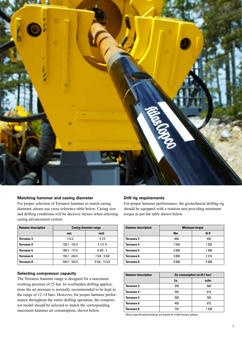

# **Matching hammer and casing diameter**

For proper selection of Terranox hammer to match casing diameter, please use cross reference table below. Casing size and drilling conditions will be decisive factors when selecting casing advancement system.

| <b>Hammer description</b> | <b>Casing diameter range</b> |                |  |  |
|---------------------------|------------------------------|----------------|--|--|
|                           | mm                           | inch           |  |  |
| Terranox 3                | 114.3                        | 41/2           |  |  |
| <b>Terranox 4</b>         | 139.7 - 152.4                | $51/2 - 6$     |  |  |
| Terranox 5                | 168.3 - 177.8                | $65/8 - 7$     |  |  |
| Terranox 6                | 193.7 - 244.5                | $75/8 - 95/8$  |  |  |
| Terranox 8                | 244.5 - 323.9                | $95/8 - 123/4$ |  |  |

# **Selecting compressor capacity**

The Terranox hammer range is designed for a maximum working pressure of 25 bar. In overburden drilling applications the air pressure is normally recommended to be kept in the range of 12-14 bars. However, for proper hammer performance throughout the entire drilling operation, the compressor model should be selected to match the corresponding maximum hammer air consumption, shown below.

# **Drill rig requirements**

For proper hammer performance, the geotechnical drilling rig should be equipped with a rotation unit providing minimum torque as per the table shown below.

| <b>Hammer description</b> | <b>Minimum torque</b> |         |  |  |
|---------------------------|-----------------------|---------|--|--|
|                           | <b>Nm</b>             | lb ft   |  |  |
| Terranox 3                | 600                   | 440     |  |  |
| <b>Terranox 4</b>         | 1 500                 | 1020    |  |  |
| Terranox 5                | 2000                  | 1480    |  |  |
| Terranox 6                | 3 0 0 0               | 2 2 1 0 |  |  |
| Terranox 8                | 8000                  | 5900    |  |  |

| <b>Hammer description</b> | Air consumption (at 24.1 bar) |       |  |  |
|---------------------------|-------------------------------|-------|--|--|
|                           | l/s                           | scfm  |  |  |
| <b>Terranox 3</b>         | 239                           | 506   |  |  |
| <b>Terranox 4</b>         | 292                           | 618   |  |  |
| <b>Terranox 5</b>         | 358                           | 760   |  |  |
| Terranox 6                | 459                           | 973   |  |  |
| Terranox 8                | 725                           | 1 538 |  |  |

Above specifications/ratings are based on initial factory setting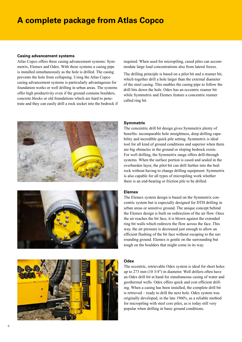# **A complete package from Atlas Copco**

## **Casing advancement systems**

Atlas Copco offers three casing advancement systems: Symmetrix, Elemex and Odex. With these systems a casing pipe is installed simultaneously as the hole is drilled. The casing prevents the hole from collapsing. Using the Atlas Copco casing advancement systems is particularly advantageous for foundation works or well drilling in urban areas. The systems offer high productivity even if the ground contains boulders, concrete blocks or old foundations which are hard to penetrate and they can easily drill a rock socket into the bedrock if







required. When used for micropiling, cased piles can accommodate large load concentrations also from lateral forces.

The drilling principle is based on a pilot bit and a reamer bit, which together drill a hole larger than the external diameter of the steel casing. This enables the casing pipe to follow the drill bits down the hole. Odex has an eccentric reamer bit while Symmetrix and Elemex feature a concentric reamer called ring bit.

# **Symmetrix**

The concentric drill bit design gives Symmetrix plenty of benefits: incomparable hole straightness, deep drilling capability and incredible quick pile setting. Symmetrix is ideal tool for all kind of ground conditions and superior when there are big obstacles in the ground or sloping bedrock exists. For well drilling, the Symmetrix range offers drill-through systems. When the surface portion is cased and sealed in the overburden layer, the pilot bit can drill further into the bedrock without having to change drilling equipment. Symmetrix is also capable for all types of micropiling work whether there is an end-bearing or friction pile to be drilled.

# **Elemex**

The Elemex system design is based on the Symmetrix concentric system but is especially designed for DTH drilling in urban areas or sensitive ground. The unique concept behind the Elemex design is built on redirection of the air flow. Once the air reaches the bit face, it is blown against the extended ring bit walls which redirects the flow across the face. This way, the air pressure is decreased just enough to allow an efficient flushing of the bit face without escaping to the surrounding ground. Elemex is gentle on the surrounding but tough on the boulders that might come in its way.

## **Odex**

The eccentric, retrievable Odex system is ideal for short holes up to 273 mm (10 3/4") in diameter. Well drillers often have an Odex drill bit at hand for simultaneous casing of water and geothermal wells. Odex offers quick and cost efficient drilling. When a casing has been installed, the complete drill bit is retrieved – ready to drill the next hole. Odex system was originally developed, in the late 1960's, as a reliable method for micropiling with steel core piles, as is today still very popular when drilling in basic ground conditions.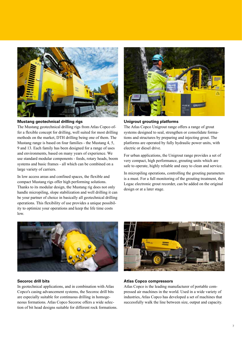

# **Mustang geotechnical drilling rigs**

The Mustang geotechnical drilling rigs from Atlas Copco offer a flexible concept for drilling, well suited for most drilling methods on the market, DTH drilling being one of them. The Mustang range is based on four families - the Mustang 4, 5, 9 and 13. Each family has been designed for a range of uses and environments, based on many years of experience. We use standard modular components - feeds, rotary heads, boom systems and basic frames - all which can be combined on a large variety of carriers.

In low access areas and confined spaces, the flexible and compact Mustang rigs offer high performing solutions. Thanks to its modular design, the Mustang rig does not only handle micropiling, slope stabilization and well drilling it can be your partner of choice in basically all geotechnical drilling operations. This flexibility of use provides a unique possibility to optimize your operations and keep the life time costs low.



## **Unigrout grouting platforms**

The Atlas Copco Unigrout range offers a range of grout systems designed to seal, strengthen or consolidate formations and structures by preparing and injecting grout. The platforms are operated by fully hydraulic power units, with electric or diesel drive.

For urban applications, the Unigrout range provides a set of very compact, high performance, grouting units which are safe to operate, highly reliable and easy to clean and service.

In micropiling operations, controlling the grouting parameters is a must. For a full monitoring of the grouting treatment, the Logac electronic grout recorder, can be added on the original design or at a later stage.



#### **Secoroc drill bits**

In geotechnical applications, and in combination with Atlas Copco's casing advancement systems, the Secoroc drill bits are especially suitable for continuous drilling in homogeneous formations. Atlas Copco Secoroc offers a wide selection of bit head designs suitable for different rock formations.



#### **Atlas Copco compressors**

Atlas Copco is the leading manufacturer of portable compressed air machines in the world. Used in a wide variety of industries, Atlas Copco has developed a set of machines that successfully walk the line between size, output and capacity.